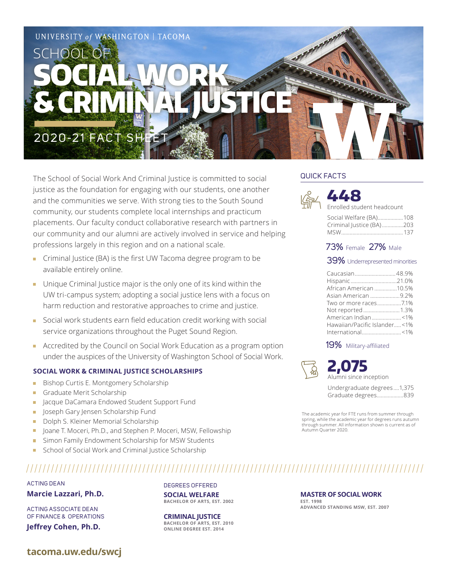

The School of Social Work And Criminal Justice is committed to social justice as the foundation for engaging with our students, one another and the communities we serve. With strong ties to the South Sound community, our students complete local internships and practicum placements. Our faculty conduct collaborative research with partners in our community and our alumni are actively involved in service and helping professions largely in this region and on a national scale.

- Criminal Justice (BA) is the first UW Tacoma degree program to be available entirely online.
- Unique Criminal Justice major is the only one of its kind within the UW tri-campus system; adopting a social justice lens with a focus on harm reduction and restorative approaches to crime and justice.
- Social work students earn field education credit working with social service organizations throughout the Puget Sound Region.
- **Accredited by the Council on Social Work Education as a program option**  under the auspices of the University of Washington School of Social Work.

### **SOCIAL WORK & CRIMINAL JUSTICE SCHOLARSHIPS**

- Bishop Curtis E. Montgomery Scholarship m.
- Graduate Merit Scholarship  $\mathbb{R}^n$
- **Jacque DaCamara Endowed Student Support Fund**
- **Joseph Gary Jensen Scholarship Fund**
- Dolph S. Kleiner Memorial Scholarship
- Joane T. Moceri, Ph.D., and Stephen P. Moceri, MSW, Fellowship
- **Simon Family Endowment Scholarship for MSW Students**
- School of Social Work and Criminal Justice Scholarship

# ACTING DEAN

**Marcie Lazzari, Ph.D.**

ACTING ASSOCIATE DEAN OF FINANCE & OPERATIONS **Jeffrey Cohen, Ph.D.**

DEGREES OFFERED **SOCIAL WELFARE BACHELOR OF ARTS, EST. 2002**

**CRIMINAL JUSTICE BACHELOR OF ARTS, EST. 2010 ONLINE DEGREE EST. 2014**

# QUICK FACTS



# **448** lled student headcount

| Social Welfare (BA) 108  |  |
|--------------------------|--|
| Criminal Justice (BA)203 |  |
|                          |  |

# 73% Female 27% Male

## 39% Underrepresented minorities

| Caucasian 48.9%              |  |
|------------------------------|--|
|                              |  |
| African American 10.5%       |  |
| Asian American 9.2%          |  |
|                              |  |
| Not reported 1.3%            |  |
| American Indian<1%           |  |
| Hawaiian/Pacific Islander<1% |  |
|                              |  |

## 19% Military-affiliated



**EST. 1998**

**2,075** Alumni since inception

Undergraduate degrees ....1,375 Graduate degrees...................839

The academic year for FTE runs from summer through spring, while the academic year for degrees runs autumn through summer. All information shown is current as of Autumn Quarter 2020.

**MASTER OF SOCIAL WORK**

**ADVANCED STANDING MSW, EST. 2007**

**tacoma.uw.edu/swcj**